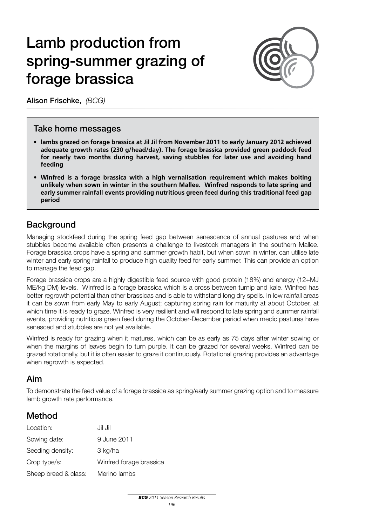# Lamb production from spring-summer grazing of forage brassica



Alison Frischke, *(BCG)*

#### Take home messages

- **• lambs grazed on forage brassica at Jil Jil from November 2011 to early January 2012 achieved adequate growth rates (230 g/head/day). The forage brassica provided green paddock feed for nearly two months during harvest, saving stubbles for later use and avoiding hand feeding**
- **• Winfred is a forage brassica with a high vernalisation requirement which makes bolting unlikely when sown in winter in the southern Mallee. Winfred responds to late spring and early summer rainfall events providing nutritious green feed during this traditional feed gap period**

## **Background**

Managing stockfeed during the spring feed gap between senescence of annual pastures and when stubbles become available often presents a challenge to livestock managers in the southern Mallee. Forage brassica crops have a spring and summer growth habit, but when sown in winter, can utilise late winter and early spring rainfall to produce high quality feed for early summer. This can provide an option to manage the feed gap.

Forage brassica crops are a highly digestible feed source with good protein (18%) and energy (12+MJ ME/kg DM) levels. Winfred is a forage brassica which is a cross between turnip and kale. Winfred has better regrowth potential than other brassicas and is able to withstand long dry spells. In low rainfall areas it can be sown from early May to early August; capturing spring rain for maturity at about October, at which time it is ready to graze. Winfred is very resilient and will respond to late spring and summer rainfall events, providing nutritious green feed during the October-December period when medic pastures have senesced and stubbles are not yet available.

Winfred is ready for grazing when it matures, which can be as early as 75 days after winter sowing or when the margins of leaves begin to turn purple. It can be grazed for several weeks. Winfred can be grazed rotationally, but it is often easier to graze it continuously. Rotational grazing provides an advantage when regrowth is expected.

### Aim

To demonstrate the feed value of a forage brassica as spring/early summer grazing option and to measure lamb growth rate performance.

### Method

| Location:            | Jil Jil                 |
|----------------------|-------------------------|
| Sowing date:         | 9 June 2011             |
| Seeding density:     | 3 kg/ha                 |
| Crop type/s:         | Winfred forage brassica |
| Sheep breed & class: | Merino lambs            |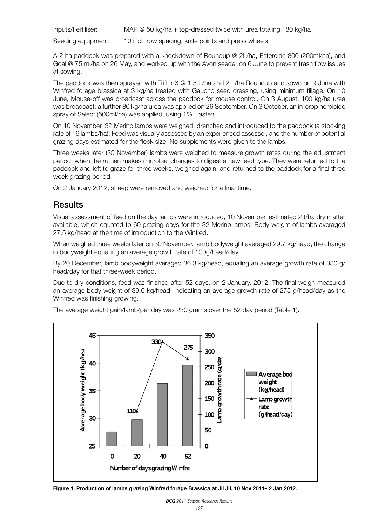Inputs/Fertiliser: MAP @ 50 kg/ha + top-dressed twice with urea totaling 180 kg/ha

Seeding equipment: 10 inch row spacing, knife points and press wheels

A 2 ha paddock was prepared with a knockdown of Roundup @ 2L/ha, Estercide 800 (200ml/ha), and Goal @ 75 ml/ha on 26 May, and worked up with the Avon seeder on 6 June to prevent trash flow issues at sowing.

The paddock was then sprayed with Triflur  $X \otimes 1.5$  L/ha and 2 L/ha Roundup and sown on 9 June with Winfred forage brassica at 3 kg/ha treated with Gaucho seed dressing, using minimum tillage. On 10 June, Mouse-off was broadcast across the paddock for mouse control. On 3 August, 100 kg/ha urea was broadcast; a further 80 kg/ha urea was applied on 26 September. On 3 October, an in-crop herbicide spray of Select (500ml/ha) was applied, using 1% Hasten.

On 10 November, 32 Merino lambs were weighed, drenched and introduced to the paddock (a stocking rate of 16 lambs/ha). Feed was visually assessed by an experienced assessor, and the number of potential grazing days estimated for the flock size. No supplements were given to the lambs.

Three weeks later (30 November) lambs were weighed to measure growth rates during the adjustment period, when the rumen makes microbial changes to digest a new feed type. They were returned to the paddock and left to graze for three weeks, weighed again, and returned to the paddock for a final three week grazing period.

On 2 January 2012, sheep were removed and weighed for a final time.

### **Results**

Visual assessment of feed on the day lambs were introduced, 10 November, estimated 2 t/ha dry matter available, which equated to 60 grazing days for the 32 Merino lambs. Body weight of lambs averaged 27.5 kg/head at the time of introduction to the Winfred.

When weighed three weeks later on 30 November, lamb bodyweight averaged 29.7 kg/head, the change in bodyweight equalling an average growth rate of 100g/head/day.

By 20 December, lamb bodyweight averaged 36.3 kg/head, equaling an average growth rate of 330 g/ head/day for that three-week period.

Due to dry conditions, feed was finished after 52 days, on 2 January, 2012. The final weigh measured an average body weight of 39.6 kg/head, indicating an average growth rate of 275 g/head/day as the Winfred was finishing growing.

The average weight gain/lamb/per day was 230 grams over the 52 day period (Table 1).



**Figure 1. Production of lambs grazing Winfred forage Brassica at Jil Jil, 10 Nov 2011– 2 Jan 2012.**